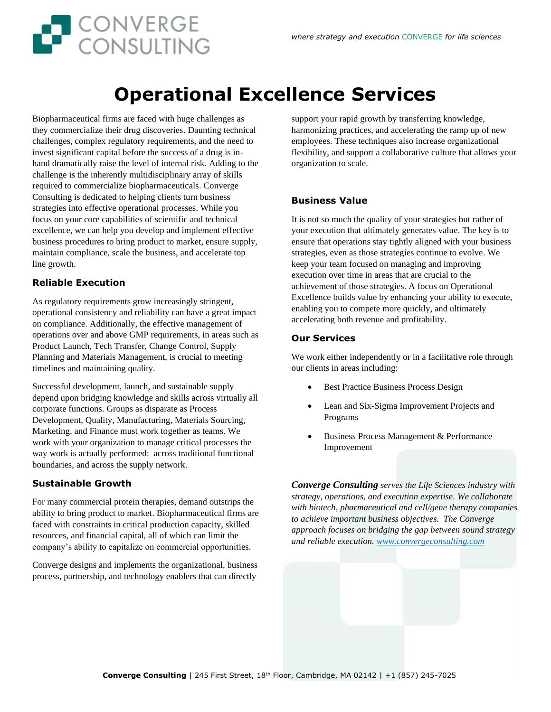# **Operational Excellence Services**

Biopharmaceutical firms are faced with huge challenges as they commercialize their drug discoveries. Daunting technical challenges, complex regulatory requirements, and the need to invest significant capital before the success of a drug is inhand dramatically raise the level of internal risk. Adding to the challenge is the inherently multidisciplinary array of skills required to commercialize biopharmaceuticals. Converge Consulting is dedicated to helping clients turn business strategies into effective operational processes. While you focus on your core capabilities of scientific and technical excellence, we can help you develop and implement effective business procedures to bring product to market, ensure supply, maintain compliance, scale the business, and accelerate top line growth.

CONVERGE

#### **Reliable Execution**

As regulatory requirements grow increasingly stringent, operational consistency and reliability can have a great impact on compliance. Additionally, the effective management of operations over and above GMP requirements, in areas such as Product Launch, Tech Transfer, Change Control, Supply Planning and Materials Management, is crucial to meeting timelines and maintaining quality.

Successful development, launch, and sustainable supply depend upon bridging knowledge and skills across virtually all corporate functions. Groups as disparate as Process Development, Quality, Manufacturing, Materials Sourcing, Marketing, and Finance must work together as teams. We work with your organization to manage critical processes the way work is actually performed: across traditional functional boundaries, and across the supply network.

#### **Sustainable Growth**

For many commercial protein therapies, demand outstrips the ability to bring product to market. Biopharmaceutical firms are faced with constraints in critical production capacity, skilled resources, and financial capital, all of which can limit the company's ability to capitalize on commercial opportunities.

Converge designs and implements the organizational, business process, partnership, and technology enablers that can directly

support your rapid growth by transferring knowledge, harmonizing practices, and accelerating the ramp up of new employees. These techniques also increase organizational flexibility, and support a collaborative culture that allows your organization to scale.

#### **Business Value**

It is not so much the quality of your strategies but rather of your execution that ultimately generates value. The key is to ensure that operations stay tightly aligned with your business strategies, even as those strategies continue to evolve. We keep your team focused on managing and improving execution over time in areas that are crucial to the achievement of those strategies. A focus on Operational Excellence builds value by enhancing your ability to execute, enabling you to compete more quickly, and ultimately accelerating both revenue and profitability.

#### **Our Services**

We work either independently or in a facilitative role through our clients in areas including:

- Best Practice Business Process Design
- Lean and Six-Sigma Improvement Projects and Programs
- Business Process Management & Performance Improvement

*Converge Consulting serves the Life Sciences industry with strategy, operations, and execution expertise. We collaborate with biotech, pharmaceutical and cell/gene therapy companies to achieve important business objectives. The Converge approach focuses on bridging the gap between sound strategy and reliable execution. [www.convergeconsulting.com](http://www.convergeconsulting.com/)*